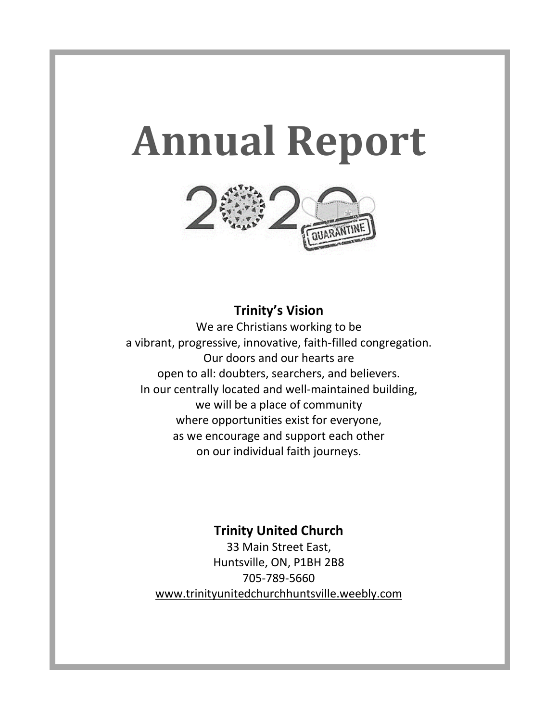# **Annual Report**



# **Trinity's Vision**

We are Christians working to be a vibrant, progressive, innovative, faith-filled congregation. Our doors and our hearts are open to all: doubters, searchers, and believers. In our centrally located and well-maintained building, we will be a place of community where opportunities exist for everyone, as we encourage and support each other on our individual faith journeys.

# **Trinity United Church**

33 Main Street East, Huntsville, ON, P1BH 2B8 705-789-5660 [www.trinityunitedchurchhuntsville.weebly.com](http://www.trinityunitedchurchhuntsville.weebly.com/)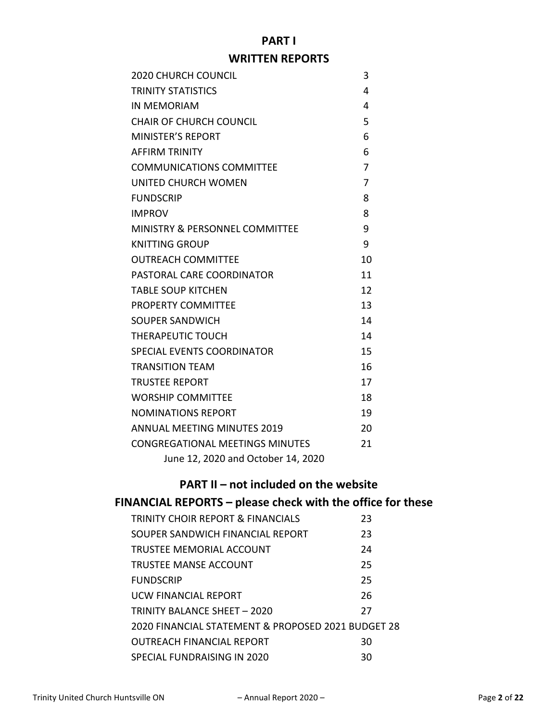# **PART I**

# **WRITTEN REPORTS**

| <b>2020 CHURCH COUNCIL</b>                | 3              |
|-------------------------------------------|----------------|
| TRINITY STATISTICS                        | 4              |
| <b>IN MEMORIAM</b>                        | 4              |
| <b>CHAIR OF CHURCH COUNCIL</b>            | 5              |
| <b>MINISTER'S REPORT</b>                  | 6              |
| AFFIRM TRINITY                            | 6              |
| <b>COMMUNICATIONS COMMITTEE</b>           | 7              |
| UNITED CHURCH WOMEN                       | $\overline{7}$ |
| <b>FUNDSCRIP</b>                          | 8              |
| <b>IMPROV</b>                             | 8              |
| <b>MINISTRY &amp; PERSONNEL COMMITTEE</b> | 9              |
| <b>KNITTING GROUP</b>                     | 9              |
| OUTREACH COMMITTEE                        | 10             |
| PASTORAL CARE COORDINATOR                 | 11             |
| <b>TABLE SOUP KITCHEN</b>                 | 12             |
| <b>PROPERTY COMMITTEE</b>                 | 13             |
| SOUPER SANDWICH                           | 14             |
| THERAPEUTIC TOUCH                         | 14             |
| SPECIAL EVENTS COORDINATOR                | 15             |
| <b>TRANSITION TEAM</b>                    | 16             |
| <b>TRUSTEE REPORT</b>                     | 17             |
| WORSHIP COMMITTEE                         | 18             |
| <b>NOMINATIONS REPORT</b>                 | 19             |
| <b>ANNUAL MEETING MINUTES 2019</b>        | 20             |
| <b>CONGREGATIONAL MEETINGS MINUTES</b>    | 21             |
| June 12, 2020 and October 14, 2020        |                |

# **PART II – not included on the website**

# **FINANCIAL REPORTS – please check with the office for these**

| <b>TRINITY CHOIR REPORT &amp; FINANCIALS</b>       | 23 |
|----------------------------------------------------|----|
| SOUPER SANDWICH FINANCIAL REPORT                   | 23 |
| <b>TRUSTEE MEMORIAL ACCOUNT</b>                    | 24 |
| TRUSTEE MANSE ACCOUNT                              | 25 |
| <b>FUNDSCRIP</b>                                   | 25 |
| <b>UCW FINANCIAL REPORT</b>                        | 26 |
| TRINITY BALANCE SHEET - 2020                       | 27 |
| 2020 FINANCIAL STATEMENT & PROPOSED 2021 BUDGET 28 |    |
| <b>OUTREACH FINANCIAL REPORT</b>                   | 30 |
| SPECIAL FUNDRAISING IN 2020                        | 30 |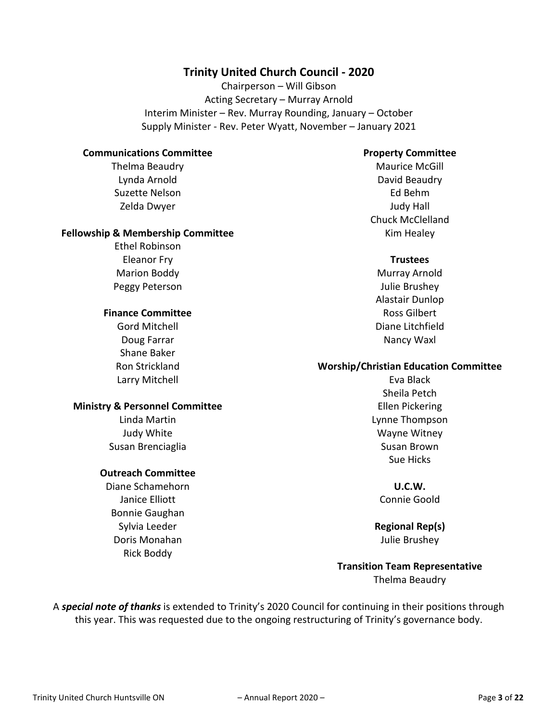## **Trinity United Church Council - 2020**

Chairperson – Will Gibson Acting Secretary – Murray Arnold Interim Minister – Rev. Murray Rounding, January – October Supply Minister - Rev. Peter Wyatt, November – January 2021

#### **Communications Committee**

Thelma Beaudry Lynda Arnold Suzette Nelson Zelda Dwyer

#### **Fellowship & Membership Committee**

Ethel Robinson Eleanor Fry Marion Boddy Peggy Peterson

#### **Finance Committee**

Gord Mitchell Doug Farrar Shane Baker Ron Strickland Larry Mitchell

#### **Ministry & Personnel Committee**

Linda Martin Judy White Susan Brenciaglia

#### **Outreach Committee**

Diane Schamehorn Janice Elliott Bonnie Gaughan Sylvia Leeder Doris Monahan Rick Boddy

#### **Property Committee**

Maurice McGill David Beaudry Ed Behm Judy Hall Chuck McClelland Kim Healey

#### **Trustees**

Murray Arnold Julie Brushey Alastair Dunlop Ross Gilbert Diane Litchfield Nancy Waxl

#### **Worship/Christian Education Committee**

Eva Black Sheila Petch Ellen Pickering Lynne Thompson Wayne Witney Susan Brown Sue Hicks

**U.C.W.** Connie Goold

**Regional Rep(s)** Julie Brushey

**Transition Team Representative** Thelma Beaudry

A *special note of thanks* is extended to Trinity's 2020 Council for continuing in their positions through this year. This was requested due to the ongoing restructuring of Trinity's governance body.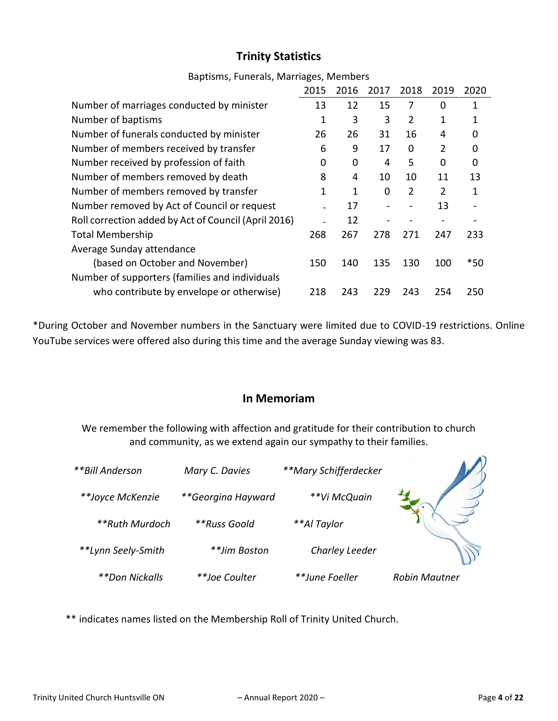# **Trinity Statistics**

|                                                      | 2015 | 2016 | 2017 | 2018           | 2019           | 2020     |
|------------------------------------------------------|------|------|------|----------------|----------------|----------|
| Number of marriages conducted by minister            | 13   | 12   | 15   | 7              | 0              |          |
| Number of baptisms                                   | 1    | 3    | 3    | 2              | 1              |          |
| Number of funerals conducted by minister             | 26   | 26   | 31   | 16             | 4              | 0        |
| Number of members received by transfer               | 6    | 9    | 17   | 0              | $\overline{2}$ | 0        |
| Number received by profession of faith               | 0    | 0    | 4    | 5              | $\Omega$       | $\Omega$ |
| Number of members removed by death                   | 8    | 4    | 10   | 10             | 11             | 13       |
| Number of members removed by transfer                | 1    | 1    | 0    | $\overline{2}$ | $\mathcal{P}$  | 1        |
| Number removed by Act of Council or request          |      | 17   |      |                | 13             |          |
| Roll correction added by Act of Council (April 2016) |      | 12   |      |                |                |          |
| <b>Total Membership</b>                              | 268  | 267  | 278  | 271            | 247            | 233      |
| Average Sunday attendance                            |      |      |      |                |                |          |
| (based on October and November)                      | 150  | 140  | 135  | 130            | 100            | $*50$    |
| Number of supporters (families and individuals       |      |      |      |                |                |          |
| who contribute by envelope or otherwise)             | 218  | 243  | 229  | 243            | 254            | 250      |

## Baptisms, Funerals, Marriages, Members

\*During October and November numbers in the Sanctuary were limited due to COVID-19 restrictions. Online YouTube services were offered also during this time and the average Sunday viewing was 83.

## **In Memoriam**

We remember the following with affection and gratitude for their contribution to church and community, as we extend again our sympathy to their families.

| **Bill Anderson    | Mary C. Davies     | **Mary Schifferdecker |                      |
|--------------------|--------------------|-----------------------|----------------------|
| **Joyce McKenzie   | **Georgina Hayward | **Vi McQuain          |                      |
| **Ruth Murdoch     | **Russ Goold       | **Al Taylor           |                      |
| **Lynn Seely-Smith | **Jim Boston       | Charley Leeder        |                      |
| **Don Nickalls     | **Joe Coulter      | **June Foeller        | <b>Robin Mautner</b> |

\*\* indicates names listed on the Membership Roll of Trinity United Church.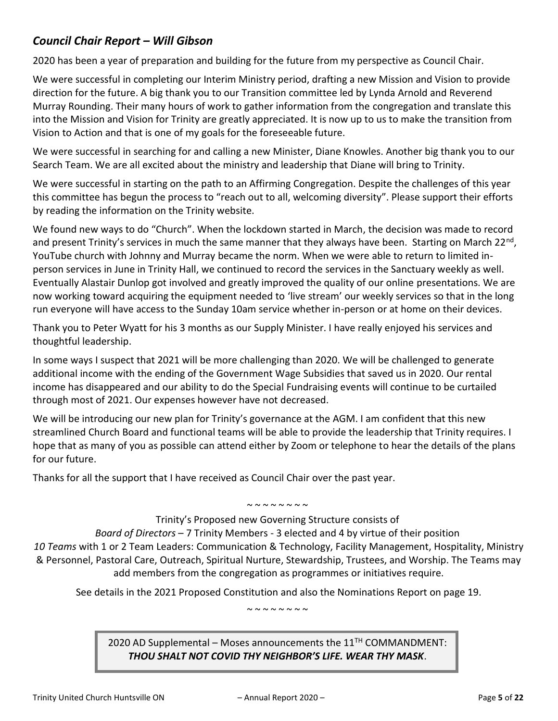# *Council Chair Report – Will Gibson*

2020 has been a year of preparation and building for the future from my perspective as Council Chair.

We were successful in completing our Interim Ministry period, drafting a new Mission and Vision to provide direction for the future. A big thank you to our Transition committee led by Lynda Arnold and Reverend Murray Rounding. Their many hours of work to gather information from the congregation and translate this into the Mission and Vision for Trinity are greatly appreciated. It is now up to us to make the transition from Vision to Action and that is one of my goals for the foreseeable future.

We were successful in searching for and calling a new Minister, Diane Knowles. Another big thank you to our Search Team. We are all excited about the ministry and leadership that Diane will bring to Trinity.

We were successful in starting on the path to an Affirming Congregation. Despite the challenges of this year this committee has begun the process to "reach out to all, welcoming diversity". Please support their efforts by reading the information on the Trinity website.

We found new ways to do "Church". When the lockdown started in March, the decision was made to record and present Trinity's services in much the same manner that they always have been. Starting on March 22<sup>nd</sup>, YouTube church with Johnny and Murray became the norm. When we were able to return to limited inperson services in June in Trinity Hall, we continued to record the services in the Sanctuary weekly as well. Eventually Alastair Dunlop got involved and greatly improved the quality of our online presentations. We are now working toward acquiring the equipment needed to 'live stream' our weekly services so that in the long run everyone will have access to the Sunday 10am service whether in-person or at home on their devices.

Thank you to Peter Wyatt for his 3 months as our Supply Minister. I have really enjoyed his services and thoughtful leadership.

In some ways I suspect that 2021 will be more challenging than 2020. We will be challenged to generate additional income with the ending of the Government Wage Subsidies that saved us in 2020. Our rental income has disappeared and our ability to do the Special Fundraising events will continue to be curtailed through most of 2021. Our expenses however have not decreased.

We will be introducing our new plan for Trinity's governance at the AGM. I am confident that this new streamlined Church Board and functional teams will be able to provide the leadership that Trinity requires. I hope that as many of you as possible can attend either by Zoom or telephone to hear the details of the plans for our future.

Thanks for all the support that I have received as Council Chair over the past year.

#### ~ ~ ~ ~ ~ ~ ~ ~

Trinity's Proposed new Governing Structure consists of

*Board of Directors* – 7 Trinity Members - 3 elected and 4 by virtue of their position *10 Teams* with 1 or 2 Team Leaders: Communication & Technology, Facility Management, Hospitality, Ministry & Personnel, Pastoral Care, Outreach, Spiritual Nurture, Stewardship, Trustees, and Worship. The Teams may add members from the congregation as programmes or initiatives require.

See details in the 2021 Proposed Constitution and also the Nominations Report on page 19.

 $\sim$   $\sim$   $\sim$   $\sim$   $\sim$   $\sim$   $\sim$ 

2020 AD Supplemental – Moses announcements the  $11<sup>TH</sup>$  COMMANDMENT: *THOU SHALT NOT COVID THY NEIGHBOR'S LIFE. WEAR THY MASK*.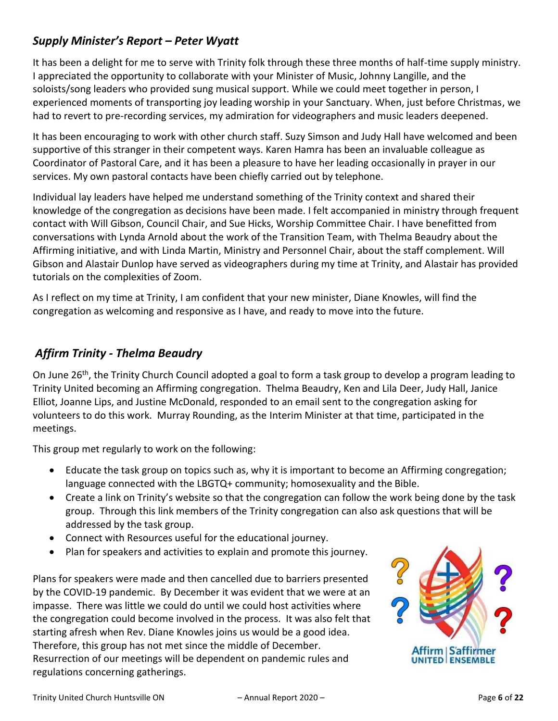# *Supply Minister's Report – Peter Wyatt*

It has been a delight for me to serve with Trinity folk through these three months of half-time supply ministry. I appreciated the opportunity to collaborate with your Minister of Music, Johnny Langille, and the soloists/song leaders who provided sung musical support. While we could meet together in person, I experienced moments of transporting joy leading worship in your Sanctuary. When, just before Christmas, we had to revert to pre-recording services, my admiration for videographers and music leaders deepened.

It has been encouraging to work with other church staff. Suzy Simson and Judy Hall have welcomed and been supportive of this stranger in their competent ways. Karen Hamra has been an invaluable colleague as Coordinator of Pastoral Care, and it has been a pleasure to have her leading occasionally in prayer in our services. My own pastoral contacts have been chiefly carried out by telephone.

Individual lay leaders have helped me understand something of the Trinity context and shared their knowledge of the congregation as decisions have been made. I felt accompanied in ministry through frequent contact with Will Gibson, Council Chair, and Sue Hicks, Worship Committee Chair. I have benefitted from conversations with Lynda Arnold about the work of the Transition Team, with Thelma Beaudry about the Affirming initiative, and with Linda Martin, Ministry and Personnel Chair, about the staff complement. Will Gibson and Alastair Dunlop have served as videographers during my time at Trinity, and Alastair has provided tutorials on the complexities of Zoom.

As I reflect on my time at Trinity, I am confident that your new minister, Diane Knowles, will find the congregation as welcoming and responsive as I have, and ready to move into the future.

# *Affirm Trinity - Thelma Beaudry*

On June 26<sup>th</sup>, the Trinity Church Council adopted a goal to form a task group to develop a program leading to Trinity United becoming an Affirming congregation. Thelma Beaudry, Ken and Lila Deer, Judy Hall, Janice Elliot, Joanne Lips, and Justine McDonald, responded to an email sent to the congregation asking for volunteers to do this work. Murray Rounding, as the Interim Minister at that time, participated in the meetings.

This group met regularly to work on the following:

- Educate the task group on topics such as, why it is important to become an Affirming congregation; language connected with the LBGTQ+ community; homosexuality and the Bible.
- Create a link on Trinity's website so that the congregation can follow the work being done by the task group. Through this link members of the Trinity congregation can also ask questions that will be addressed by the task group.
- Connect with Resources useful for the educational journey.
- Plan for speakers and activities to explain and promote this journey.

Plans for speakers were made and then cancelled due to barriers presented by the COVID-19 pandemic. By December it was evident that we were at an impasse. There was little we could do until we could host activities where the congregation could become involved in the process. It was also felt that starting afresh when Rev. Diane Knowles joins us would be a good idea. Therefore, this group has not met since the middle of December. Resurrection of our meetings will be dependent on pandemic rules and regulations concerning gatherings.

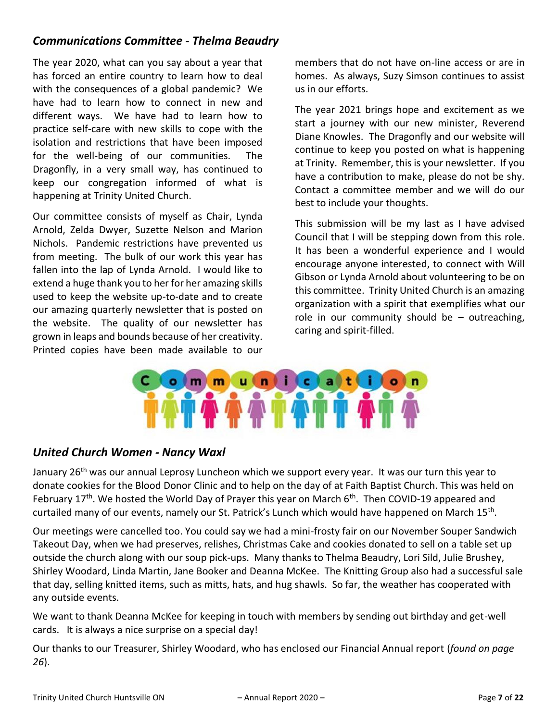# *Communications Committee - Thelma Beaudry*

The year 2020, what can you say about a year that has forced an entire country to learn how to deal with the consequences of a global pandemic? We have had to learn how to connect in new and different ways. We have had to learn how to practice self-care with new skills to cope with the isolation and restrictions that have been imposed for the well-being of our communities. The Dragonfly, in a very small way, has continued to keep our congregation informed of what is happening at Trinity United Church.

Our committee consists of myself as Chair, Lynda Arnold, Zelda Dwyer, Suzette Nelson and Marion Nichols. Pandemic restrictions have prevented us from meeting. The bulk of our work this year has fallen into the lap of Lynda Arnold. I would like to extend a huge thank you to her for her amazing skills used to keep the website up-to-date and to create our amazing quarterly newsletter that is posted on the website. The quality of our newsletter has grown in leaps and bounds because of her creativity. Printed copies have been made available to our

members that do not have on-line access or are in homes. As always, Suzy Simson continues to assist us in our efforts.

The year 2021 brings hope and excitement as we start a journey with our new minister, Reverend Diane Knowles. The Dragonfly and our website will continue to keep you posted on what is happening at Trinity. Remember, this is your newsletter. If you have a contribution to make, please do not be shy. Contact a committee member and we will do our best to include your thoughts.

This submission will be my last as I have advised Council that I will be stepping down from this role. It has been a wonderful experience and I would encourage anyone interested, to connect with Will Gibson or Lynda Arnold about volunteering to be on this committee. Trinity United Church is an amazing organization with a spirit that exemplifies what our role in our community should be – outreaching, caring and spirit-filled.



# *United Church Women - Nancy Waxl*

January 26<sup>th</sup> was our annual Leprosy Luncheon which we support every year. It was our turn this year to donate cookies for the Blood Donor Clinic and to help on the day of at Faith Baptist Church. This was held on February 17<sup>th</sup>. We hosted the World Day of Prayer this year on March  $6<sup>th</sup>$ . Then COVID-19 appeared and curtailed many of our events, namely our St. Patrick's Lunch which would have happened on March 15<sup>th</sup>.

Our meetings were cancelled too. You could say we had a mini-frosty fair on our November Souper Sandwich Takeout Day, when we had preserves, relishes, Christmas Cake and cookies donated to sell on a table set up outside the church along with our soup pick-ups. Many thanks to Thelma Beaudry, Lori Sild, Julie Brushey, Shirley Woodard, Linda Martin, Jane Booker and Deanna McKee. The Knitting Group also had a successful sale that day, selling knitted items, such as mitts, hats, and hug shawls. So far, the weather has cooperated with any outside events.

We want to thank Deanna McKee for keeping in touch with members by sending out birthday and get-well cards. It is always a nice surprise on a special day!

Our thanks to our Treasurer, Shirley Woodard, who has enclosed our Financial Annual report (*found on page 26*).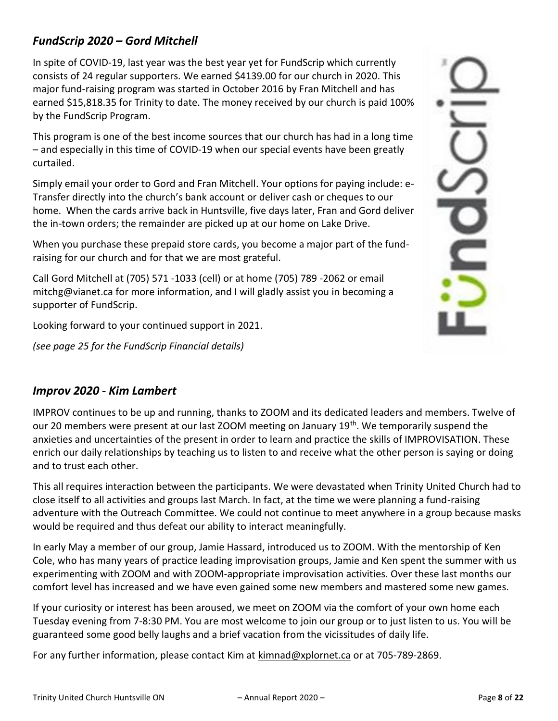# *FundScrip 2020 – Gord Mitchell*

In spite of COVID-19, last year was the best year yet for FundScrip which currently consists of 24 regular supporters. We earned \$4139.00 for our church in 2020. This major fund-raising program was started in October 2016 by Fran Mitchell and has earned \$15,818.35 for Trinity to date. The money received by our church is paid 100% by the FundScrip Program.

This program is one of the best income sources that our church has had in a long time – and especially in this time of COVID-19 when our special events have been greatly curtailed.

Simply email your order to Gord and Fran Mitchell. Your options for paying include: e-Transfer directly into the church's bank account or deliver cash or cheques to our home. When the cards arrive back in Huntsville, five days later, Fran and Gord deliver the in-town orders; the remainder are picked up at our home on Lake Drive.

When you purchase these prepaid store cards, you become a major part of the fundraising for our church and for that we are most grateful.

Call Gord Mitchell at (705) 571 -1033 (cell) or at home (705) 789 -2062 or email mitchg@vianet.ca for more information, and I will gladly assist you in becoming a supporter of FundScrip.

Looking forward to your continued support in 2021.

*(see page 25 for the FundScrip Financial details)*

# *Improv 2020 - Kim Lambert*

IMPROV continues to be up and running, thanks to ZOOM and its dedicated leaders and members. Twelve of our 20 members were present at our last ZOOM meeting on January 19<sup>th</sup>. We temporarily suspend the anxieties and uncertainties of the present in order to learn and practice the skills of IMPROVISATION. These enrich our daily relationships by teaching us to listen to and receive what the other person is saying or doing and to trust each other.

This all requires interaction between the participants. We were devastated when Trinity United Church had to close itself to all activities and groups last March. In fact, at the time we were planning a fund-raising adventure with the Outreach Committee. We could not continue to meet anywhere in a group because masks would be required and thus defeat our ability to interact meaningfully.

In early May a member of our group, Jamie Hassard, introduced us to ZOOM. With the mentorship of Ken Cole, who has many years of practice leading improvisation groups, Jamie and Ken spent the summer with us experimenting with ZOOM and with ZOOM-appropriate improvisation activities. Over these last months our comfort level has increased and we have even gained some new members and mastered some new games.

If your curiosity or interest has been aroused, we meet on ZOOM via the comfort of your own home each Tuesday evening from 7-8:30 PM. You are most welcome to join our group or to just listen to us. You will be guaranteed some good belly laughs and a brief vacation from the vicissitudes of daily life.

For any further information, please contact Kim at [kimnad@xplornet.ca](mailto:kimnad@xplornet.ca) or at 705-789-2869.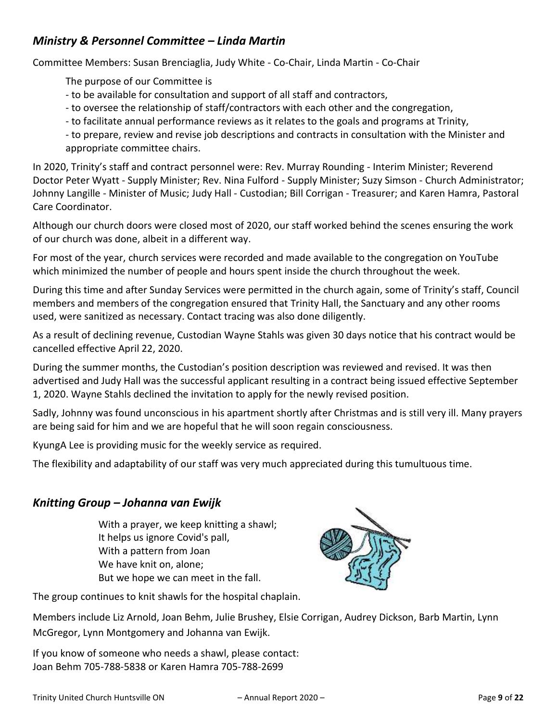# *Ministry & Personnel Committee – Linda Martin*

Committee Members: Susan Brenciaglia, Judy White - Co-Chair, Linda Martin - Co-Chair

The purpose of our Committee is

- to be available for consultation and support of all staff and contractors,
- to oversee the relationship of staff/contractors with each other and the congregation,
- to facilitate annual performance reviews as it relates to the goals and programs at Trinity,
- to prepare, review and revise job descriptions and contracts in consultation with the Minister and appropriate committee chairs.

In 2020, Trinity's staff and contract personnel were: Rev. Murray Rounding - Interim Minister; Reverend Doctor Peter Wyatt - Supply Minister; Rev. Nina Fulford - Supply Minister; Suzy Simson - Church Administrator; Johnny Langille - Minister of Music; Judy Hall - Custodian; Bill Corrigan - Treasurer; and Karen Hamra, Pastoral Care Coordinator.

Although our church doors were closed most of 2020, our staff worked behind the scenes ensuring the work of our church was done, albeit in a different way.

For most of the year, church services were recorded and made available to the congregation on YouTube which minimized the number of people and hours spent inside the church throughout the week.

During this time and after Sunday Services were permitted in the church again, some of Trinity's staff, Council members and members of the congregation ensured that Trinity Hall, the Sanctuary and any other rooms used, were sanitized as necessary. Contact tracing was also done diligently.

As a result of declining revenue, Custodian Wayne Stahls was given 30 days notice that his contract would be cancelled effective April 22, 2020.

During the summer months, the Custodian's position description was reviewed and revised. It was then advertised and Judy Hall was the successful applicant resulting in a contract being issued effective September 1, 2020. Wayne Stahls declined the invitation to apply for the newly revised position.

Sadly, Johnny was found unconscious in his apartment shortly after Christmas and is still very ill. Many prayers are being said for him and we are hopeful that he will soon regain consciousness.

KyungA Lee is providing music for the weekly service as required.

The flexibility and adaptability of our staff was very much appreciated during this tumultuous time.

## *Knitting Group – Johanna van Ewijk*

With a prayer, we keep knitting a shawl; It helps us ignore Covid's pall, With a pattern from Joan We have knit on, alone; But we hope we can meet in the fall.



The group continues to knit shawls for the hospital chaplain.

Members include Liz Arnold, Joan Behm, Julie Brushey, Elsie Corrigan, Audrey Dickson, Barb Martin, Lynn McGregor, Lynn Montgomery and Johanna van Ewijk.

If you know of someone who needs a shawl, please contact: Joan Behm 705-788-5838 or Karen Hamra 705-788-2699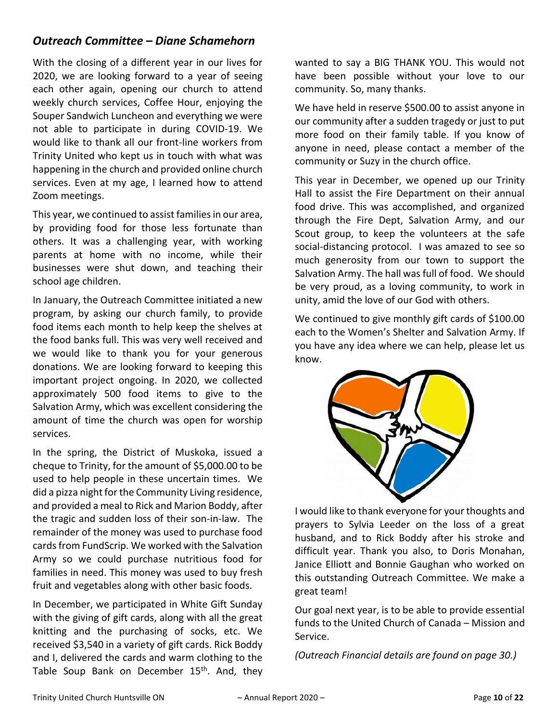# *Outreach Committee – Diane Schamehorn*

With the closing of a different year in our lives for 2020, we are looking forward to a year of seeing each other again, opening our church to attend weekly church services, Coffee Hour, enjoying the Souper Sandwich Luncheon and everything we were not able to participate in during COVID-19. We would like to thank all our front-line workers from Trinity United who kept us in touch with what was happening in the church and provided online church services. Even at my age, I learned how to attend Zoom meetings.

This year, we continued to assist families in our area, by providing food for those less fortunate than others. It was a challenging year, with working parents at home with no income, while their businesses were shut down, and teaching their school age children.

In January, the Outreach Committee initiated a new program, by asking our church family, to provide food items each month to help keep the shelves at the food banks full. This was very well received and we would like to thank you for your generous donations. We are looking forward to keeping this important project ongoing. In 2020, we collected approximately 500 food items to give to the Salvation Army, which was excellent considering the amount of time the church was open for worship services.

In the spring, the District of Muskoka, issued a cheque to Trinity, for the amount of \$5,000.00 to be used to help people in these uncertain times. We did a pizza night for the Community Living residence, and provided a meal to Rick and Marion Boddy, after the tragic and sudden loss of their son-in-law. The remainder of the money was used to purchase food cards from FundScrip. We worked with the Salvation Army so we could purchase nutritious food for families in need. This money was used to buy fresh fruit and vegetables along with other basic foods.

In December, we participated in White Gift Sunday with the giving of gift cards, along with all the great knitting and the purchasing of socks, etc. We received \$3,540 in a variety of gift cards. Rick Boddy and I, delivered the cards and warm clothing to the Table Soup Bank on December 15<sup>th</sup>. And, they

wanted to say a BIG THANK YOU. This would not have been possible without your love to our community. So, many thanks.

We have held in reserve \$500.00 to assist anyone in our community after a sudden tragedy or just to put more food on their family table. If you know of anyone in need, please contact a member of the community or Suzy in the church office.

This year in December, we opened up our Trinity Hall to assist the Fire Department on their annual food drive. This was accomplished, and organized through the Fire Dept, Salvation Army, and our Scout group, to keep the volunteers at the safe social-distancing protocol. I was amazed to see so much generosity from our town to support the Salvation Army. The hall was full of food. We should be very proud, as a loving community, to work in unity, amid the love of our God with others.

We continued to give monthly gift cards of \$100.00 each to the Women's Shelter and Salvation Army. If you have any idea where we can help, please let us know.



I would like to thank everyone for your thoughts and prayers to Sylvia Leeder on the loss of a great husband, and to Rick Boddy after his stroke and difficult year. Thank you also, to Doris Monahan, Janice Elliott and Bonnie Gaughan who worked on this outstanding Outreach Committee. We make a great team!

Our goal next year, is to be able to provide essential funds to the United Church of Canada – Mission and Service.

*(Outreach Financial details are found on page 30.)*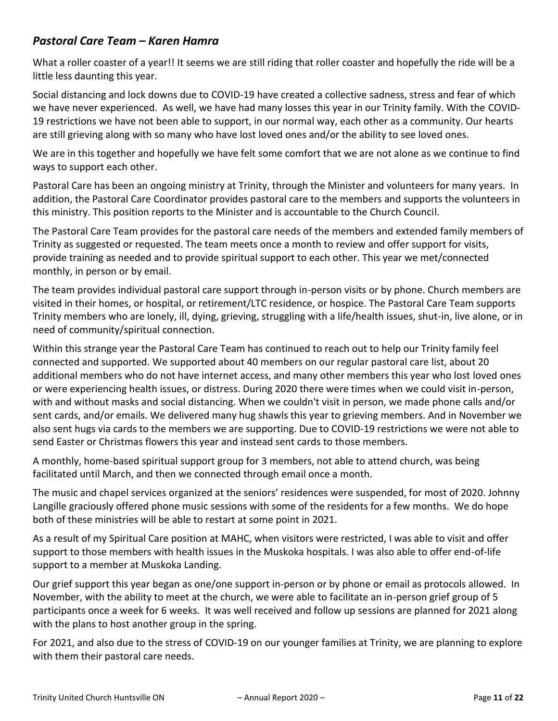# *Pastoral Care Team – Karen Hamra*

What a roller coaster of a year!! It seems we are still riding that roller coaster and hopefully the ride will be a little less daunting this year.

Social distancing and lock downs due to COVID-19 have created a collective sadness, stress and fear of which we have never experienced. As well, we have had many losses this year in our Trinity family. With the COVID-19 restrictions we have not been able to support, in our normal way, each other as a community. Our hearts are still grieving along with so many who have lost loved ones and/or the ability to see loved ones.

We are in this together and hopefully we have felt some comfort that we are not alone as we continue to find ways to support each other.

Pastoral Care has been an ongoing ministry at Trinity, through the Minister and volunteers for many years. In addition, the Pastoral Care Coordinator provides pastoral care to the members and supports the volunteers in this ministry. This position reports to the Minister and is accountable to the Church Council.

The Pastoral Care Team provides for the pastoral care needs of the members and extended family members of Trinity as suggested or requested. The team meets once a month to review and offer support for visits, provide training as needed and to provide spiritual support to each other. This year we met/connected monthly, in person or by email.

The team provides individual pastoral care support through in-person visits or by phone. Church members are visited in their homes, or hospital, or retirement/LTC residence, or hospice. The Pastoral Care Team supports Trinity members who are lonely, ill, dying, grieving, struggling with a life/health issues, shut-in, live alone, or in need of community/spiritual connection.

Within this strange year the Pastoral Care Team has continued to reach out to help our Trinity family feel connected and supported. We supported about 40 members on our regular pastoral care list, about 20 additional members who do not have internet access, and many other members this year who lost loved ones or were experiencing health issues, or distress. During 2020 there were times when we could visit in-person, with and without masks and social distancing. When we couldn't visit in person, we made phone calls and/or sent cards, and/or emails. We delivered many hug shawls this year to grieving members. And in November we also sent hugs via cards to the members we are supporting. Due to COVID-19 restrictions we were not able to send Easter or Christmas flowers this year and instead sent cards to those members.

A monthly, home-based spiritual support group for 3 members, not able to attend church, was being facilitated until March, and then we connected through email once a month.

The music and chapel services organized at the seniors' residences were suspended, for most of 2020. Johnny Langille graciously offered phone music sessions with some of the residents for a few months. We do hope both of these ministries will be able to restart at some point in 2021.

As a result of my Spiritual Care position at MAHC, when visitors were restricted, I was able to visit and offer support to those members with health issues in the Muskoka hospitals. I was also able to offer end-of-life support to a member at Muskoka Landing.

Our grief support this year began as one/one support in-person or by phone or email as protocols allowed. In November, with the ability to meet at the church, we were able to facilitate an in-person grief group of 5 participants once a week for 6 weeks. It was well received and follow up sessions are planned for 2021 along with the plans to host another group in the spring.

For 2021, and also due to the stress of COVID-19 on our younger families at Trinity, we are planning to explore with them their pastoral care needs.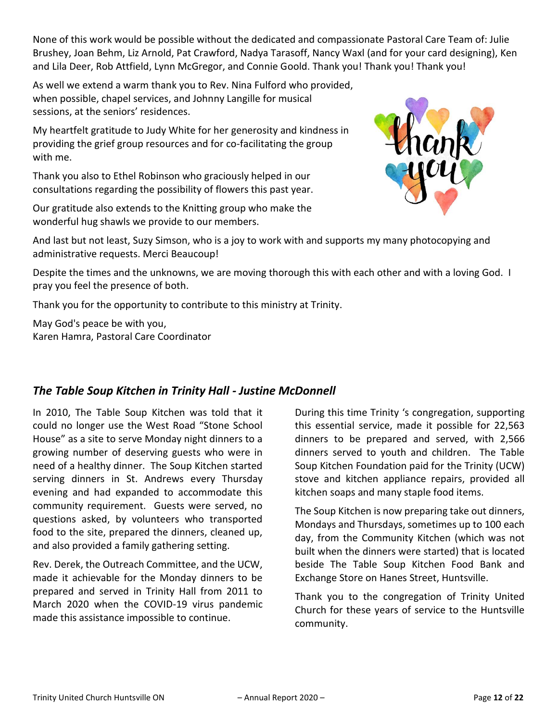None of this work would be possible without the dedicated and compassionate Pastoral Care Team of: Julie Brushey, Joan Behm, Liz Arnold, Pat Crawford, Nadya Tarasoff, Nancy Waxl (and for your card designing), Ken and Lila Deer, Rob Attfield, Lynn McGregor, and Connie Goold. Thank you! Thank you! Thank you!

As well we extend a warm thank you to Rev. Nina Fulford who provided, when possible, chapel services, and Johnny Langille for musical sessions, at the seniors' residences.

My heartfelt gratitude to Judy White for her generosity and kindness in providing the grief group resources and for co-facilitating the group with me.

Thank you also to Ethel Robinson who graciously helped in our consultations regarding the possibility of flowers this past year.

Our gratitude also extends to the Knitting group who make the wonderful hug shawls we provide to our members.



And last but not least, Suzy Simson, who is a joy to work with and supports my many photocopying and administrative requests. Merci Beaucoup!

Despite the times and the unknowns, we are moving thorough this with each other and with a loving God. I pray you feel the presence of both.

Thank you for the opportunity to contribute to this ministry at Trinity.

May God's peace be with you, Karen Hamra, Pastoral Care Coordinator

# *The Table Soup Kitchen in Trinity Hall - Justine McDonnell*

In 2010, The Table Soup Kitchen was told that it could no longer use the West Road "Stone School House" as a site to serve Monday night dinners to a growing number of deserving guests who were in need of a healthy dinner. The Soup Kitchen started serving dinners in St. Andrews every Thursday evening and had expanded to accommodate this community requirement. Guests were served, no questions asked, by volunteers who transported food to the site, prepared the dinners, cleaned up, and also provided a family gathering setting.

Rev. Derek, the Outreach Committee, and the UCW, made it achievable for the Monday dinners to be prepared and served in Trinity Hall from 2011 to March 2020 when the COVID-19 virus pandemic made this assistance impossible to continue.

During this time Trinity 's congregation, supporting this essential service, made it possible for 22,563 dinners to be prepared and served, with 2,566 dinners served to youth and children. The Table Soup Kitchen Foundation paid for the Trinity (UCW) stove and kitchen appliance repairs, provided all kitchen soaps and many staple food items.

The Soup Kitchen is now preparing take out dinners, Mondays and Thursdays, sometimes up to 100 each day, from the Community Kitchen (which was not built when the dinners were started) that is located beside The Table Soup Kitchen Food Bank and Exchange Store on Hanes Street, Huntsville.

Thank you to the congregation of Trinity United Church for these years of service to the Huntsville community.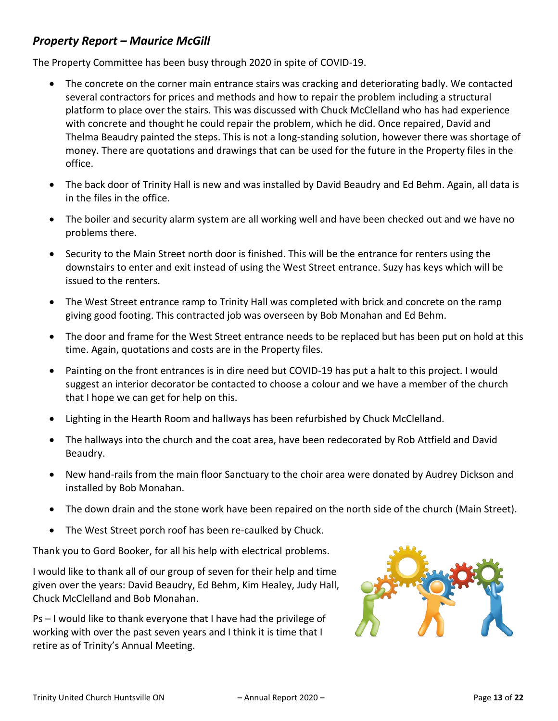# *Property Report – Maurice McGill*

The Property Committee has been busy through 2020 in spite of COVID-19.

- The concrete on the corner main entrance stairs was cracking and deteriorating badly. We contacted several contractors for prices and methods and how to repair the problem including a structural platform to place over the stairs. This was discussed with Chuck McClelland who has had experience with concrete and thought he could repair the problem, which he did. Once repaired, David and Thelma Beaudry painted the steps. This is not a long-standing solution, however there was shortage of money. There are quotations and drawings that can be used for the future in the Property files in the office.
- The back door of Trinity Hall is new and was installed by David Beaudry and Ed Behm. Again, all data is in the files in the office.
- The boiler and security alarm system are all working well and have been checked out and we have no problems there.
- Security to the Main Street north door is finished. This will be the entrance for renters using the downstairs to enter and exit instead of using the West Street entrance. Suzy has keys which will be issued to the renters.
- The West Street entrance ramp to Trinity Hall was completed with brick and concrete on the ramp giving good footing. This contracted job was overseen by Bob Monahan and Ed Behm.
- The door and frame for the West Street entrance needs to be replaced but has been put on hold at this time. Again, quotations and costs are in the Property files.
- Painting on the front entrances is in dire need but COVID-19 has put a halt to this project. I would suggest an interior decorator be contacted to choose a colour and we have a member of the church that I hope we can get for help on this.
- Lighting in the Hearth Room and hallways has been refurbished by Chuck McClelland.
- The hallways into the church and the coat area, have been redecorated by Rob Attfield and David Beaudry.
- New hand-rails from the main floor Sanctuary to the choir area were donated by Audrey Dickson and installed by Bob Monahan.
- The down drain and the stone work have been repaired on the north side of the church (Main Street).
- The West Street porch roof has been re-caulked by Chuck.

Thank you to Gord Booker, for all his help with electrical problems.

I would like to thank all of our group of seven for their help and time given over the years: David Beaudry, Ed Behm, Kim Healey, Judy Hall, Chuck McClelland and Bob Monahan.

Ps – I would like to thank everyone that I have had the privilege of working with over the past seven years and I think it is time that I retire as of Trinity's Annual Meeting.

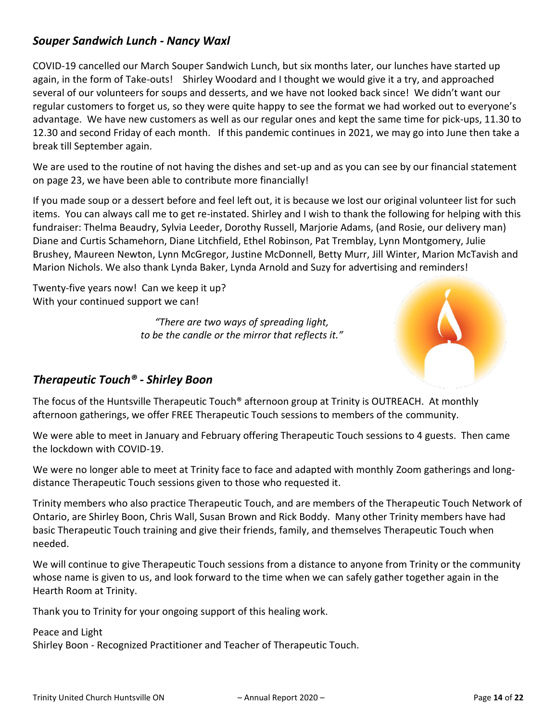# *Souper Sandwich Lunch - Nancy Waxl*

COVID-19 cancelled our March Souper Sandwich Lunch, but six months later, our lunches have started up again, in the form of Take-outs! Shirley Woodard and I thought we would give it a try, and approached several of our volunteers for soups and desserts, and we have not looked back since! We didn't want our regular customers to forget us, so they were quite happy to see the format we had worked out to everyone's advantage. We have new customers as well as our regular ones and kept the same time for pick-ups, 11.30 to 12.30 and second Friday of each month. If this pandemic continues in 2021, we may go into June then take a break till September again.

We are used to the routine of not having the dishes and set-up and as you can see by our financial statement on page 23, we have been able to contribute more financially!

If you made soup or a dessert before and feel left out, it is because we lost our original volunteer list for such items. You can always call me to get re-instated. Shirley and I wish to thank the following for helping with this fundraiser: Thelma Beaudry, Sylvia Leeder, Dorothy Russell, Marjorie Adams, (and Rosie, our delivery man) Diane and Curtis Schamehorn, Diane Litchfield, Ethel Robinson, Pat Tremblay, Lynn Montgomery, Julie Brushey, Maureen Newton, Lynn McGregor, Justine McDonnell, Betty Murr, Jill Winter, Marion McTavish and Marion Nichols. We also thank Lynda Baker, Lynda Arnold and Suzy for advertising and reminders!

Twenty-five years now! Can we keep it up? With your continued support we can!

> *"There are two ways of spreading light, to be the candle or the mirror that reflects it."*



# *Therapeutic Touch® - Shirley Boon*

The focus of the Huntsville Therapeutic Touch® afternoon group at Trinity is OUTREACH. At monthly afternoon gatherings, we offer FREE Therapeutic Touch sessions to members of the community.

We were able to meet in January and February offering Therapeutic Touch sessions to 4 guests. Then came the lockdown with COVID-19.

We were no longer able to meet at Trinity face to face and adapted with monthly Zoom gatherings and longdistance Therapeutic Touch sessions given to those who requested it.

Trinity members who also practice Therapeutic Touch, and are members of the Therapeutic Touch Network of Ontario, are Shirley Boon, Chris Wall, Susan Brown and Rick Boddy. Many other Trinity members have had basic Therapeutic Touch training and give their friends, family, and themselves Therapeutic Touch when needed.

We will continue to give Therapeutic Touch sessions from a distance to anyone from Trinity or the community whose name is given to us, and look forward to the time when we can safely gather together again in the Hearth Room at Trinity.

Thank you to Trinity for your ongoing support of this healing work.

#### Peace and Light

Shirley Boon - Recognized Practitioner and Teacher of Therapeutic Touch.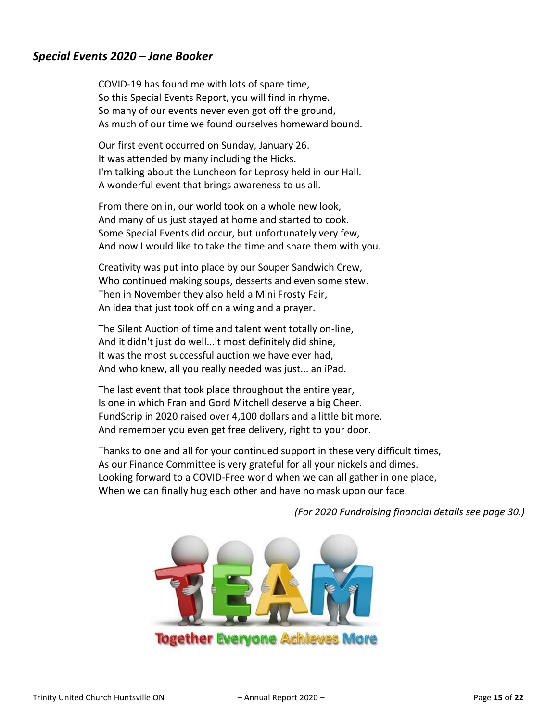## *Special Events 2020 – Jane Booker*

COVID-19 has found me with lots of spare time, So this Special Events Report, you will find in rhyme. So many of our events never even got off the ground, As much of our time we found ourselves homeward bound.

Our first event occurred on Sunday, January 26. It was attended by many including the Hicks. I'm talking about the Luncheon for Leprosy held in our Hall. A wonderful event that brings awareness to us all.

From there on in, our world took on a whole new look, And many of us just stayed at home and started to cook. Some Special Events did occur, but unfortunately very few, And now I would like to take the time and share them with you.

Creativity was put into place by our Souper Sandwich Crew, Who continued making soups, desserts and even some stew. Then in November they also held a Mini Frosty Fair, An idea that just took off on a wing and a prayer.

The Silent Auction of time and talent went totally on-line, And it didn't just do well...it most definitely did shine, It was the most successful auction we have ever had, And who knew, all you really needed was just... an iPad.

The last event that took place throughout the entire year, Is one in which Fran and Gord Mitchell deserve a big Cheer. FundScrip in 2020 raised over 4,100 dollars and a little bit more. And remember you even get free delivery, right to your door.

Thanks to one and all for your continued support in these very difficult times, As our Finance Committee is very grateful for all your nickels and dimes. Looking forward to a COVID-Free world when we can all gather in one place, When we can finally hug each other and have no mask upon our face.



*(For 2020 Fundraising financial details see page 30.)*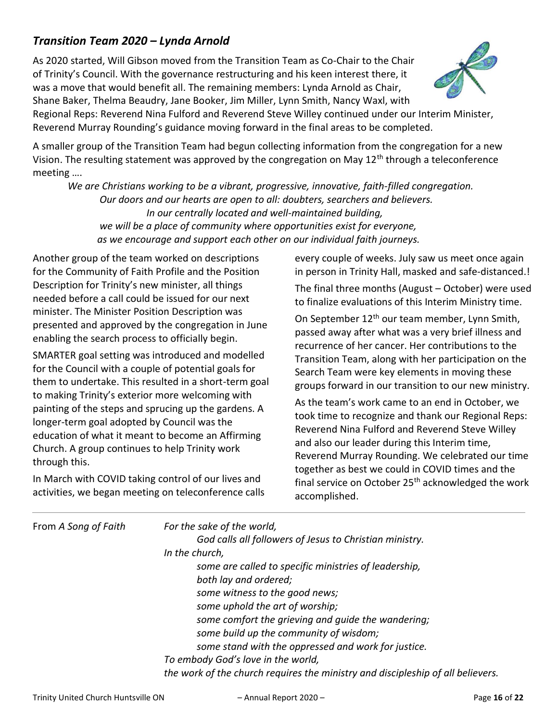# *Transition Team 2020 – Lynda Arnold*

As 2020 started, Will Gibson moved from the Transition Team as Co-Chair to the Chair of Trinity's Council. With the governance restructuring and his keen interest there, it was a move that would benefit all. The remaining members: Lynda Arnold as Chair, Shane Baker, Thelma Beaudry, Jane Booker, Jim Miller, Lynn Smith, Nancy Waxl, with



Regional Reps: Reverend Nina Fulford and Reverend Steve Willey continued under our Interim Minister, Reverend Murray Rounding's guidance moving forward in the final areas to be completed.

A smaller group of the Transition Team had begun collecting information from the congregation for a new Vision. The resulting statement was approved by the congregation on May 12<sup>th</sup> through a teleconference meeting ….

 *We are Christians working to be a vibrant, progressive, innovative, faith-filled congregation. Our doors and our hearts are open to all: doubters, searchers and believers. In our centrally located and well-maintained building, we will be a place of community where opportunities exist for everyone, as we encourage and support each other on our individual faith journeys.*

Another group of the team worked on descriptions for the Community of Faith Profile and the Position Description for Trinity's new minister, all things needed before a call could be issued for our next minister. The Minister Position Description was presented and approved by the congregation in June enabling the search process to officially begin.

SMARTER goal setting was introduced and modelled for the Council with a couple of potential goals for them to undertake. This resulted in a short-term goal to making Trinity's exterior more welcoming with painting of the steps and sprucing up the gardens. A longer-term goal adopted by Council was the education of what it meant to become an Affirming Church. A group continues to help Trinity work through this.

In March with COVID taking control of our lives and activities, we began meeting on teleconference calls every couple of weeks. July saw us meet once again in person in Trinity Hall, masked and safe-distanced.!

The final three months (August – October) were used to finalize evaluations of this Interim Ministry time.

On September 12th our team member, Lynn Smith, passed away after what was a very brief illness and recurrence of her cancer. Her contributions to the Transition Team, along with her participation on the Search Team were key elements in moving these groups forward in our transition to our new ministry.

As the team's work came to an end in October, we took time to recognize and thank our Regional Reps: Reverend Nina Fulford and Reverend Steve Willey and also our leader during this Interim time, Reverend Murray Rounding. We celebrated our time together as best we could in COVID times and the final service on October  $25<sup>th</sup>$  acknowledged the work accomplished.

| From A Song of Faith | For the sake of the world,<br>God calls all followers of Jesus to Christian ministry.<br>In the church,<br>some are called to specific ministries of leadership,<br>both lay and ordered;<br>some witness to the good news;<br>some uphold the art of worship;<br>some comfort the grieving and guide the wandering;<br>some build up the community of wisdom;<br>some stand with the oppressed and work for justice.<br>To embody God's love in the world, |
|----------------------|-------------------------------------------------------------------------------------------------------------------------------------------------------------------------------------------------------------------------------------------------------------------------------------------------------------------------------------------------------------------------------------------------------------------------------------------------------------|
|                      | the work of the church requires the ministry and discipleship of all believers.                                                                                                                                                                                                                                                                                                                                                                             |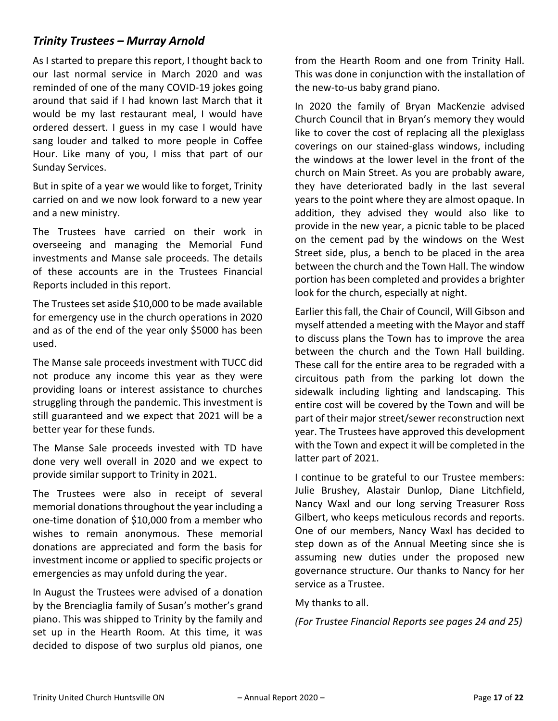# *Trinity Trustees – Murray Arnold*

As I started to prepare this report, I thought back to our last normal service in March 2020 and was reminded of one of the many COVID-19 jokes going around that said if I had known last March that it would be my last restaurant meal, I would have ordered dessert. I guess in my case I would have sang louder and talked to more people in Coffee Hour. Like many of you, I miss that part of our Sunday Services.

But in spite of a year we would like to forget, Trinity carried on and we now look forward to a new year and a new ministry.

The Trustees have carried on their work in overseeing and managing the Memorial Fund investments and Manse sale proceeds. The details of these accounts are in the Trustees Financial Reports included in this report.

The Trustees set aside \$10,000 to be made available for emergency use in the church operations in 2020 and as of the end of the year only \$5000 has been used.

The Manse sale proceeds investment with TUCC did not produce any income this year as they were providing loans or interest assistance to churches struggling through the pandemic. This investment is still guaranteed and we expect that 2021 will be a better year for these funds.

The Manse Sale proceeds invested with TD have done very well overall in 2020 and we expect to provide similar support to Trinity in 2021.

The Trustees were also in receipt of several memorial donations throughout the year including a one-time donation of \$10,000 from a member who wishes to remain anonymous. These memorial donations are appreciated and form the basis for investment income or applied to specific projects or emergencies as may unfold during the year.

In August the Trustees were advised of a donation by the Brenciaglia family of Susan's mother's grand piano. This was shipped to Trinity by the family and set up in the Hearth Room. At this time, it was decided to dispose of two surplus old pianos, one

from the Hearth Room and one from Trinity Hall. This was done in conjunction with the installation of the new-to-us baby grand piano.

In 2020 the family of Bryan MacKenzie advised Church Council that in Bryan's memory they would like to cover the cost of replacing all the plexiglass coverings on our stained-glass windows, including the windows at the lower level in the front of the church on Main Street. As you are probably aware, they have deteriorated badly in the last several years to the point where they are almost opaque. In addition, they advised they would also like to provide in the new year, a picnic table to be placed on the cement pad by the windows on the West Street side, plus, a bench to be placed in the area between the church and the Town Hall. The window portion has been completed and provides a brighter look for the church, especially at night.

Earlier this fall, the Chair of Council, Will Gibson and myself attended a meeting with the Mayor and staff to discuss plans the Town has to improve the area between the church and the Town Hall building. These call for the entire area to be regraded with a circuitous path from the parking lot down the sidewalk including lighting and landscaping. This entire cost will be covered by the Town and will be part of their major street/sewer reconstruction next year. The Trustees have approved this development with the Town and expect it will be completed in the latter part of 2021.

I continue to be grateful to our Trustee members: Julie Brushey, Alastair Dunlop, Diane Litchfield, Nancy Waxl and our long serving Treasurer Ross Gilbert, who keeps meticulous records and reports. One of our members, Nancy Waxl has decided to step down as of the Annual Meeting since she is assuming new duties under the proposed new governance structure. Our thanks to Nancy for her service as a Trustee.

My thanks to all.

*(For Trustee Financial Reports see pages 24 and 25)*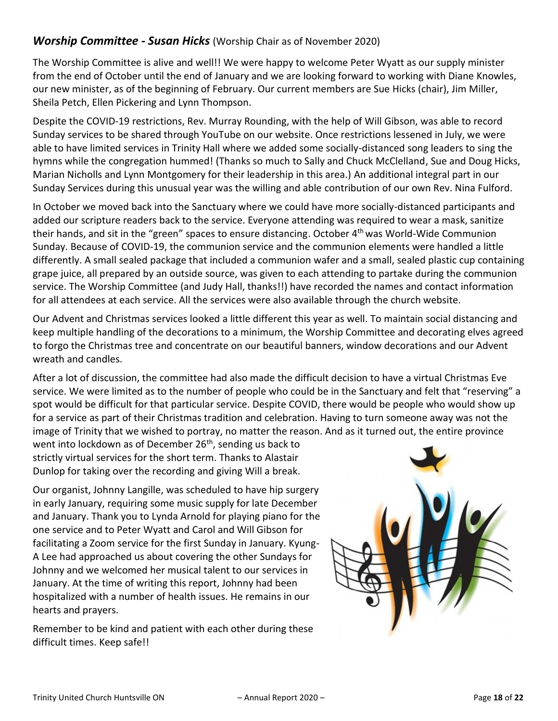## *Worship Committee - Susan Hicks* (Worship Chair as of November 2020)

The Worship Committee is alive and well!! We were happy to welcome Peter Wyatt as our supply minister from the end of October until the end of January and we are looking forward to working with Diane Knowles, our new minister, as of the beginning of February. Our current members are Sue Hicks (chair), Jim Miller, Sheila Petch, Ellen Pickering and Lynn Thompson.

Despite the COVID-19 restrictions, Rev. Murray Rounding, with the help of Will Gibson, was able to record Sunday services to be shared through YouTube on our website. Once restrictions lessened in July, we were able to have limited services in Trinity Hall where we added some socially-distanced song leaders to sing the hymns while the congregation hummed! (Thanks so much to Sally and Chuck McClelland, Sue and Doug Hicks, Marian Nicholls and Lynn Montgomery for their leadership in this area.) An additional integral part in our Sunday Services during this unusual year was the willing and able contribution of our own Rev. Nina Fulford.

In October we moved back into the Sanctuary where we could have more socially-distanced participants and added our scripture readers back to the service. Everyone attending was required to wear a mask, sanitize their hands, and sit in the "green" spaces to ensure distancing. October 4<sup>th</sup> was World-Wide Communion Sunday. Because of COVID-19, the communion service and the communion elements were handled a little differently. A small sealed package that included a communion wafer and a small, sealed plastic cup containing grape juice, all prepared by an outside source, was given to each attending to partake during the communion service. The Worship Committee (and Judy Hall, thanks!!) have recorded the names and contact information for all attendees at each service. All the services were also available through the church website.

Our Advent and Christmas services looked a little different this year as well. To maintain social distancing and keep multiple handling of the decorations to a minimum, the Worship Committee and decorating elves agreed to forgo the Christmas tree and concentrate on our beautiful banners, window decorations and our Advent wreath and candles.

After a lot of discussion, the committee had also made the difficult decision to have a virtual Christmas Eve service. We were limited as to the number of people who could be in the Sanctuary and felt that "reserving" a spot would be difficult for that particular service. Despite COVID, there would be people who would show up for a service as part of their Christmas tradition and celebration. Having to turn someone away was not the image of Trinity that we wished to portray, no matter the reason. And as it turned out, the entire province

went into lockdown as of December 26<sup>th</sup>, sending us back to strictly virtual services for the short term. Thanks to Alastair Dunlop for taking over the recording and giving Will a break.

Our organist, Johnny Langille, was scheduled to have hip surgery in early January, requiring some music supply for late December and January. Thank you to Lynda Arnold for playing piano for the one service and to Peter Wyatt and Carol and Will Gibson for facilitating a Zoom service for the first Sunday in January. Kyung-A Lee had approached us about covering the other Sundays for Johnny and we welcomed her musical talent to our services in January. At the time of writing this report, Johnny had been hospitalized with a number of health issues. He remains in our hearts and prayers.

Remember to be kind and patient with each other during these difficult times. Keep safe!!

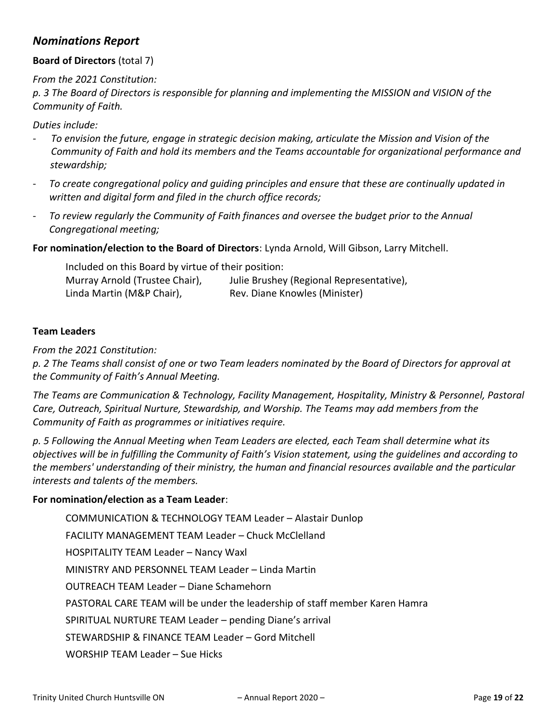# *Nominations Report*

### **Board of Directors** (total 7)

*From the 2021 Constitution:*

*p. 3 The Board of Directors is responsible for planning and implementing the MISSION and VISION of the Community of Faith.* 

#### *Duties include:*

- *To envision the future, engage in strategic decision making, articulate the Mission and Vision of the Community of Faith and hold its members and the Teams accountable for organizational performance and stewardship;*
- *To create congregational policy and guiding principles and ensure that these are continually updated in written and digital form and filed in the church office records;*
- *To review regularly the Community of Faith finances and oversee the budget prior to the Annual Congregational meeting;*

**For nomination/election to the Board of Directors**: Lynda Arnold, Will Gibson, Larry Mitchell.

| Included on this Board by virtue of their position: |                                          |  |
|-----------------------------------------------------|------------------------------------------|--|
| Murray Arnold (Trustee Chair),                      | Julie Brushey (Regional Representative), |  |
| Linda Martin (M&P Chair),                           | Rev. Diane Knowles (Minister)            |  |

#### **Team Leaders**

*From the 2021 Constitution:*

*p. 2 The Teams shall consist of one or two Team leaders nominated by the Board of Directors for approval at the Community of Faith's Annual Meeting.*

*The Teams are Communication & Technology, Facility Management, Hospitality, Ministry & Personnel, Pastoral Care, Outreach, Spiritual Nurture, Stewardship, and Worship. The Teams may add members from the Community of Faith as programmes or initiatives require.*

*p. 5 Following the Annual Meeting when Team Leaders are elected, each Team shall determine what its objectives will be in fulfilling the Community of Faith's Vision statement, using the guidelines and according to the members' understanding of their ministry, the human and financial resources available and the particular interests and talents of the members.*

#### **For nomination/election as a Team Leader**:

COMMUNICATION & TECHNOLOGY TEAM Leader – Alastair Dunlop FACILITY MANAGEMENT TEAM Leader – Chuck McClelland HOSPITALITY TEAM Leader – Nancy Waxl MINISTRY AND PERSONNEL TEAM Leader – Linda Martin OUTREACH TEAM Leader – Diane Schamehorn PASTORAL CARE TEAM will be under the leadership of staff member Karen Hamra SPIRITUAL NURTURE TEAM Leader – pending Diane's arrival STEWARDSHIP & FINANCE TEAM Leader – Gord Mitchell WORSHIP TEAM Leader – Sue Hicks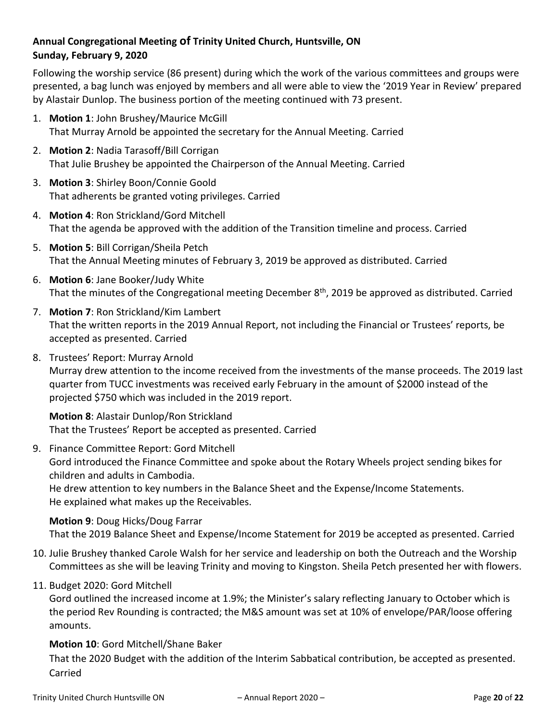## **Annual Congregational Meeting of Trinity United Church, Huntsville, ON Sunday, February 9, 2020**

Following the worship service (86 present) during which the work of the various committees and groups were presented, a bag lunch was enjoyed by members and all were able to view the '2019 Year in Review' prepared by Alastair Dunlop. The business portion of the meeting continued with 73 present.

- 1. **Motion 1**: John Brushey/Maurice McGill That Murray Arnold be appointed the secretary for the Annual Meeting. Carried
- 2. **Motion 2**: Nadia Tarasoff/Bill Corrigan That Julie Brushey be appointed the Chairperson of the Annual Meeting. Carried
- 3. **Motion 3**: Shirley Boon/Connie Goold That adherents be granted voting privileges. Carried
- 4. **Motion 4**: Ron Strickland/Gord Mitchell That the agenda be approved with the addition of the Transition timeline and process. Carried
- 5. **Motion 5**: Bill Corrigan/Sheila Petch That the Annual Meeting minutes of February 3, 2019 be approved as distributed. Carried
- 6. **Motion 6**: Jane Booker/Judy White That the minutes of the Congregational meeting December  $8<sup>th</sup>$ , 2019 be approved as distributed. Carried
- 7. **Motion 7**: Ron Strickland/Kim Lambert That the written reports in the 2019 Annual Report, not including the Financial or Trustees' reports, be accepted as presented. Carried
- 8. Trustees' Report: Murray Arnold

Murray drew attention to the income received from the investments of the manse proceeds. The 2019 last quarter from TUCC investments was received early February in the amount of \$2000 instead of the projected \$750 which was included in the 2019 report.

**Motion 8**: Alastair Dunlop/Ron Strickland That the Trustees' Report be accepted as presented. Carried

9. Finance Committee Report: Gord Mitchell

Gord introduced the Finance Committee and spoke about the Rotary Wheels project sending bikes for children and adults in Cambodia.

He drew attention to key numbers in the Balance Sheet and the Expense/Income Statements. He explained what makes up the Receivables.

## **Motion 9**: Doug Hicks/Doug Farrar

That the 2019 Balance Sheet and Expense/Income Statement for 2019 be accepted as presented. Carried

- 10. Julie Brushey thanked Carole Walsh for her service and leadership on both the Outreach and the Worship Committees as she will be leaving Trinity and moving to Kingston. Sheila Petch presented her with flowers.
- 11. Budget 2020: Gord Mitchell

Gord outlined the increased income at 1.9%; the Minister's salary reflecting January to October which is the period Rev Rounding is contracted; the M&S amount was set at 10% of envelope/PAR/loose offering amounts.

## **Motion 10**: Gord Mitchell/Shane Baker

That the 2020 Budget with the addition of the Interim Sabbatical contribution, be accepted as presented. Carried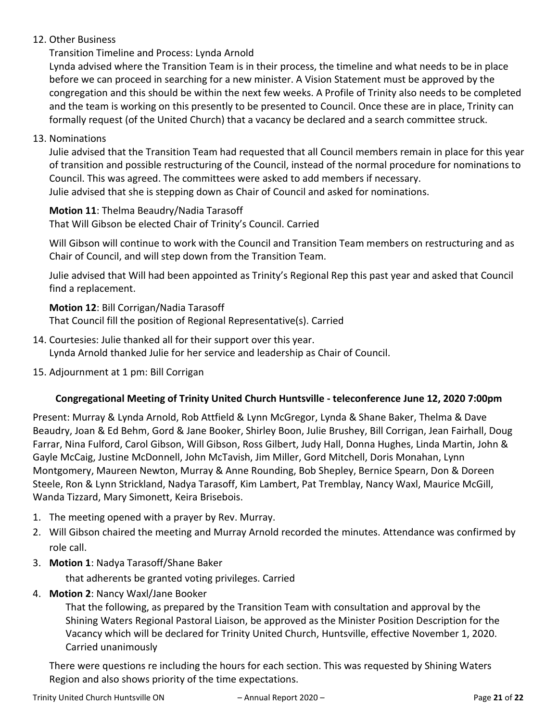## 12. Other Business

Transition Timeline and Process: Lynda Arnold

Lynda advised where the Transition Team is in their process, the timeline and what needs to be in place before we can proceed in searching for a new minister. A Vision Statement must be approved by the congregation and this should be within the next few weeks. A Profile of Trinity also needs to be completed and the team is working on this presently to be presented to Council. Once these are in place, Trinity can formally request (of the United Church) that a vacancy be declared and a search committee struck.

13. Nominations

Julie advised that the Transition Team had requested that all Council members remain in place for this year of transition and possible restructuring of the Council, instead of the normal procedure for nominations to Council. This was agreed. The committees were asked to add members if necessary. Julie advised that she is stepping down as Chair of Council and asked for nominations.

**Motion 11**: Thelma Beaudry/Nadia Tarasoff That Will Gibson be elected Chair of Trinity's Council. Carried

Will Gibson will continue to work with the Council and Transition Team members on restructuring and as Chair of Council, and will step down from the Transition Team.

Julie advised that Will had been appointed as Trinity's Regional Rep this past year and asked that Council find a replacement.

### **Motion 12**: Bill Corrigan/Nadia Tarasoff

That Council fill the position of Regional Representative(s). Carried

- 14. Courtesies: Julie thanked all for their support over this year. Lynda Arnold thanked Julie for her service and leadership as Chair of Council.
- 15. Adjournment at 1 pm: Bill Corrigan

## **Congregational Meeting of Trinity United Church Huntsville - teleconference June 12, 2020 7:00pm**

Present: Murray & Lynda Arnold, Rob Attfield & Lynn McGregor, Lynda & Shane Baker, Thelma & Dave Beaudry, Joan & Ed Behm, Gord & Jane Booker, Shirley Boon, Julie Brushey, Bill Corrigan, Jean Fairhall, Doug Farrar, Nina Fulford, Carol Gibson, Will Gibson, Ross Gilbert, Judy Hall, Donna Hughes, Linda Martin, John & Gayle McCaig, Justine McDonnell, John McTavish, Jim Miller, Gord Mitchell, Doris Monahan, Lynn Montgomery, Maureen Newton, Murray & Anne Rounding, Bob Shepley, Bernice Spearn, Don & Doreen Steele, Ron & Lynn Strickland, Nadya Tarasoff, Kim Lambert, Pat Tremblay, Nancy Waxl, Maurice McGill, Wanda Tizzard, Mary Simonett, Keira Brisebois.

- 1. The meeting opened with a prayer by Rev. Murray.
- 2. Will Gibson chaired the meeting and Murray Arnold recorded the minutes. Attendance was confirmed by role call.
- 3. **Motion 1**: Nadya Tarasoff/Shane Baker

that adherents be granted voting privileges. Carried

4. **Motion 2**: Nancy Waxl/Jane Booker

That the following, as prepared by the Transition Team with consultation and approval by the Shining Waters Regional Pastoral Liaison, be approved as the Minister Position Description for the Vacancy which will be declared for Trinity United Church, Huntsville, effective November 1, 2020. Carried unanimously

There were questions re including the hours for each section. This was requested by Shining Waters Region and also shows priority of the time expectations.